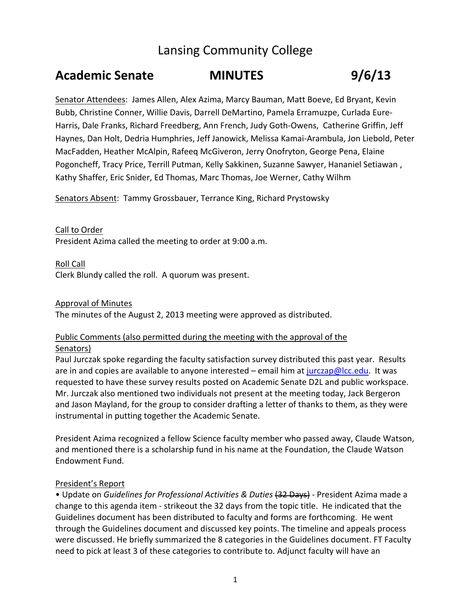## Lansing Community College

# **Academic Senate MINUTES 9/6/13**

Senator Attendees: James Allen, Alex Azima, Marcy Bauman, Matt Boeve, Ed Bryant, Kevin Bubb, Christine Conner, Willie Davis, Darrell DeMartino, Pamela Erramuzpe, Curlada Eure‐ Harris, Dale Franks, Richard Freedberg, Ann French, Judy Goth‐Owens, Catherine Griffin, Jeff Haynes, Dan Holt, Dedria Humphries, Jeff Janowick, Melissa Kamai‐Arambula, Jon Liebold, Peter MacFadden, Heather McAlpin, Rafeeq McGiveron, Jerry Onofryton, George Pena, Elaine Pogoncheff, Tracy Price, Terrill Putman, Kelly Sakkinen, Suzanne Sawyer, Hananiel Setiawan , Kathy Shaffer, Eric Snider, Ed Thomas, Marc Thomas, Joe Werner, Cathy Wilhm

Senators Absent: Tammy Grossbauer, Terrance King, Richard Prystowsky

Call to Order President Azima called the meeting to order at 9:00 a.m.

Roll Call Clerk Blundy called the roll. A quorum was present.

#### Approval of Minutes

The minutes of the August 2, 2013 meeting were approved as distributed.

### Public Comments (also permitted during the meeting with the approval of the Senators)

Paul Jurczak spoke regarding the faculty satisfaction survey distributed this past year. Results are in and copies are available to anyone interested – email him at jurczap@lcc.edu. It was requested to have these survey results posted on Academic Senate D2L and public workspace. Mr. Jurczak also mentioned two individuals not present at the meeting today, Jack Bergeron and Jason Mayland, for the group to consider drafting a letter of thanks to them, as they were instrumental in putting together the Academic Senate.

President Azima recognized a fellow Science faculty member who passed away, Claude Watson, and mentioned there is a scholarship fund in his name at the Foundation, the Claude Watson Endowment Fund.

### President's Report

• Update on *Guidelines for Professional Activities & Duties* (32 Days) ‐ President Azima made a change to this agenda item ‐ strikeout the 32 days from the topic title. He indicated that the Guidelines document has been distributed to faculty and forms are forthcoming. He went through the Guidelines document and discussed key points. The timeline and appeals process were discussed. He briefly summarized the 8 categories in the Guidelines document. FT Faculty need to pick at least 3 of these categories to contribute to. Adjunct faculty will have an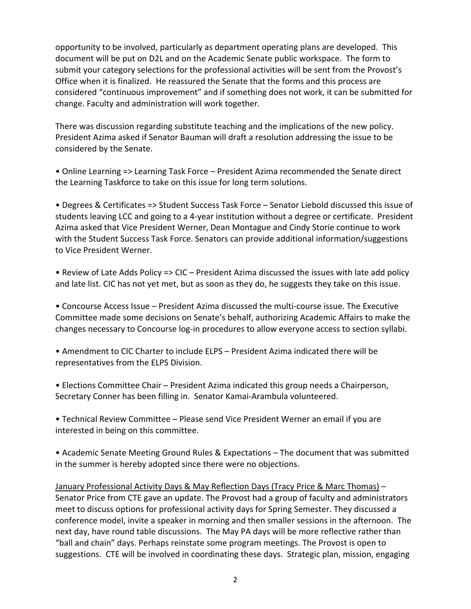opportunity to be involved, particularly as department operating plans are developed. This document will be put on D2L and on the Academic Senate public workspace. The form to submit your category selections for the professional activities will be sent from the Provost's Office when it is finalized. He reassured the Senate that the forms and this process are considered "continuous improvement" and if something does not work, it can be submitted for change. Faculty and administration will work together.

There was discussion regarding substitute teaching and the implications of the new policy. President Azima asked if Senator Bauman will draft a resolution addressing the issue to be considered by the Senate.

• Online Learning => Learning Task Force – President Azima recommended the Senate direct the Learning Taskforce to take on this issue for long term solutions.

• Degrees & Certificates => Student Success Task Force – Senator Liebold discussed this issue of students leaving LCC and going to a 4‐year institution without a degree or certificate. President Azima asked that Vice President Werner, Dean Montague and Cindy Storie continue to work with the Student Success Task Force. Senators can provide additional information/suggestions to Vice President Werner.

• Review of Late Adds Policy => CIC – President Azima discussed the issues with late add policy and late list. CIC has not yet met, but as soon as they do, he suggests they take on this issue.

• Concourse Access Issue – President Azima discussed the multi‐course issue. The Executive Committee made some decisions on Senate's behalf, authorizing Academic Affairs to make the changes necessary to Concourse log‐in procedures to allow everyone access to section syllabi.

• Amendment to CIC Charter to include ELPS – President Azima indicated there will be representatives from the ELPS Division.

• Elections Committee Chair – President Azima indicated this group needs a Chairperson, Secretary Conner has been filling in. Senator Kamai‐Arambula volunteered.

• Technical Review Committee – Please send Vice President Werner an email if you are interested in being on this committee.

• Academic Senate Meeting Ground Rules & Expectations – The document that was submitted in the summer is hereby adopted since there were no objections.

January Professional Activity Days & May Reflection Days (Tracy Price & Marc Thomas) – Senator Price from CTE gave an update. The Provost had a group of faculty and administrators meet to discuss options for professional activity days for Spring Semester. They discussed a conference model, invite a speaker in morning and then smaller sessions in the afternoon. The next day, have round table discussions. The May PA days will be more reflective rather than "ball and chain" days. Perhaps reinstate some program meetings. The Provost is open to suggestions. CTE will be involved in coordinating these days. Strategic plan, mission, engaging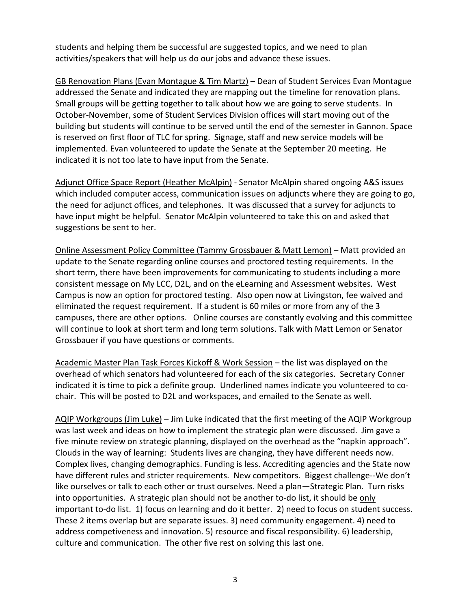students and helping them be successful are suggested topics, and we need to plan activities/speakers that will help us do our jobs and advance these issues.

GB Renovation Plans (Evan Montague & Tim Martz) – Dean of Student Services Evan Montague addressed the Senate and indicated they are mapping out the timeline for renovation plans. Small groups will be getting together to talk about how we are going to serve students. In October‐November, some of Student Services Division offices will start moving out of the building but students will continue to be served until the end of the semester in Gannon. Space is reserved on first floor of TLC for spring. Signage, staff and new service models will be implemented. Evan volunteered to update the Senate at the September 20 meeting. He indicated it is not too late to have input from the Senate.

Adjunct Office Space Report (Heather McAlpin) ‐ Senator McAlpin shared ongoing A&S issues which included computer access, communication issues on adjuncts where they are going to go, the need for adjunct offices, and telephones. It was discussed that a survey for adjuncts to have input might be helpful. Senator McAlpin volunteered to take this on and asked that suggestions be sent to her.

Online Assessment Policy Committee (Tammy Grossbauer & Matt Lemon) – Matt provided an update to the Senate regarding online courses and proctored testing requirements. In the short term, there have been improvements for communicating to students including a more consistent message on My LCC, D2L, and on the eLearning and Assessment websites. West Campus is now an option for proctored testing. Also open now at Livingston, fee waived and eliminated the request requirement. If a student is 60 miles or more from any of the 3 campuses, there are other options. Online courses are constantly evolving and this committee will continue to look at short term and long term solutions. Talk with Matt Lemon or Senator Grossbauer if you have questions or comments.

Academic Master Plan Task Forces Kickoff & Work Session – the list was displayed on the overhead of which senators had volunteered for each of the six categories. Secretary Conner indicated it is time to pick a definite group. Underlined names indicate you volunteered to cochair. This will be posted to D2L and workspaces, and emailed to the Senate as well.

AQIP Workgroups (Jim Luke) – Jim Luke indicated that the first meeting of the AQIP Workgroup was last week and ideas on how to implement the strategic plan were discussed. Jim gave a five minute review on strategic planning, displayed on the overhead as the "napkin approach". Clouds in the way of learning: Students lives are changing, they have different needs now. Complex lives, changing demographics. Funding is less. Accrediting agencies and the State now have different rules and stricter requirements. New competitors. Biggest challenge--We don't like ourselves or talk to each other or trust ourselves. Need a plan—Strategic Plan. Turn risks into opportunities. A strategic plan should not be another to-do list, it should be only important to-do list. 1) focus on learning and do it better. 2) need to focus on student success. These 2 items overlap but are separate issues. 3) need community engagement. 4) need to address competiveness and innovation. 5) resource and fiscal responsibility. 6) leadership, culture and communication. The other five rest on solving this last one.